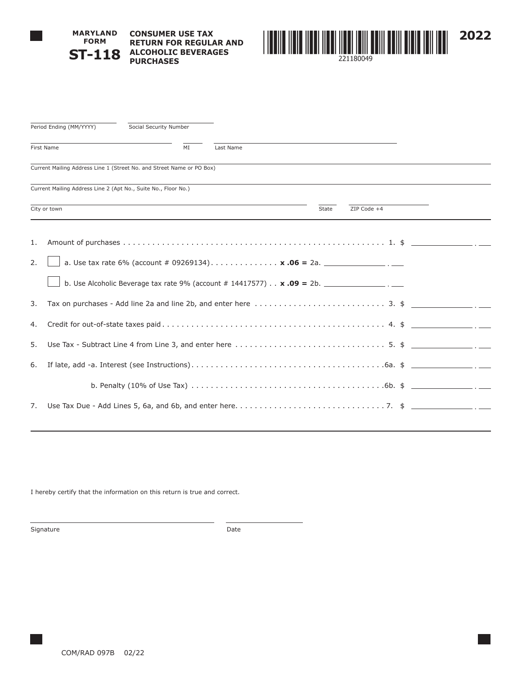

## **MARYLAND FORM ST-118 CONSUMER USE TAX RETURN FOR REGULAR AND ALCOHOLIC BEVERAGES PURCHASES**



|    | Period Ending (MM/YYYY)<br>Social Security Number                               |    |           |                      |  |  |  |
|----|---------------------------------------------------------------------------------|----|-----------|----------------------|--|--|--|
|    | First Name                                                                      | MI | Last Name |                      |  |  |  |
|    | Current Mailing Address Line 1 (Street No. and Street Name or PO Box)           |    |           |                      |  |  |  |
|    | Current Mailing Address Line 2 (Apt No., Suite No., Floor No.)                  |    |           |                      |  |  |  |
|    | City or town                                                                    |    |           | ZIP Code +4<br>State |  |  |  |
| 1. |                                                                                 |    |           |                      |  |  |  |
| 2. | a. Use tax rate 6% (account # 09269134) <b>x .06 = 2a.</b> __________________.  |    |           |                      |  |  |  |
|    | b. Use Alcoholic Beverage tax rate 9% (account # 14417577) $\ldots$ x .09 = 2b. |    |           |                      |  |  |  |
| 3. |                                                                                 |    |           |                      |  |  |  |
| 4. |                                                                                 |    |           |                      |  |  |  |
| 5. |                                                                                 |    |           |                      |  |  |  |
| 6. |                                                                                 |    |           |                      |  |  |  |
|    |                                                                                 |    |           |                      |  |  |  |
| 7. |                                                                                 |    |           |                      |  |  |  |
|    |                                                                                 |    |           |                      |  |  |  |

I hereby certify that the information on this return is true and correct.

Signature Date Date Date Date